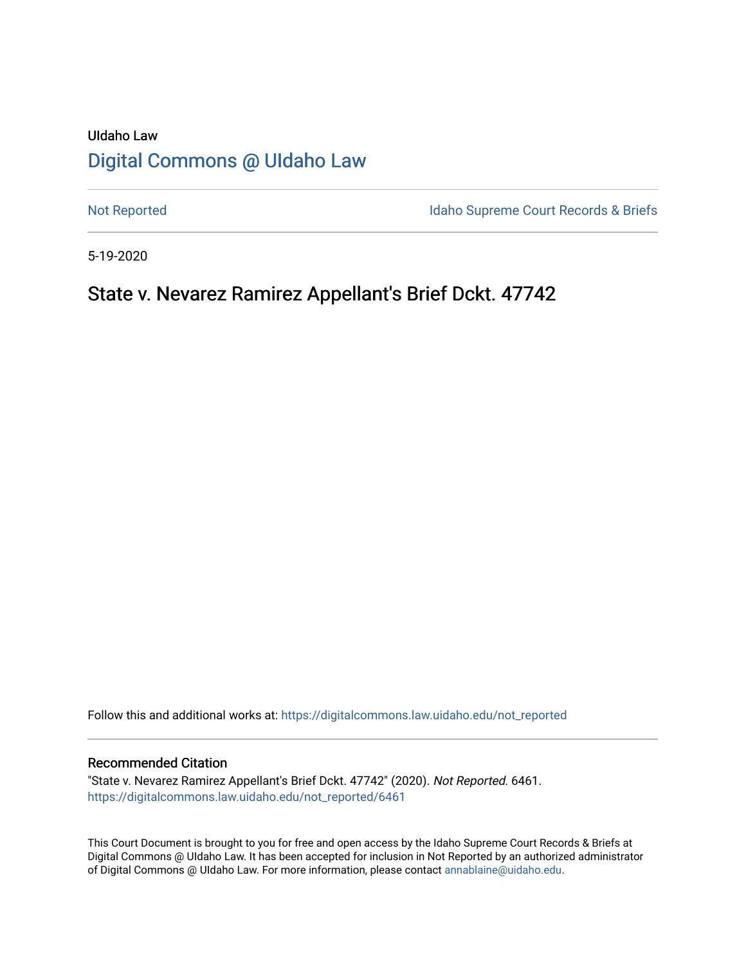# UIdaho Law [Digital Commons @ UIdaho Law](https://digitalcommons.law.uidaho.edu/)

[Not Reported](https://digitalcommons.law.uidaho.edu/not_reported) **Idaho Supreme Court Records & Briefs** 

5-19-2020

# State v. Nevarez Ramirez Appellant's Brief Dckt. 47742

Follow this and additional works at: [https://digitalcommons.law.uidaho.edu/not\\_reported](https://digitalcommons.law.uidaho.edu/not_reported?utm_source=digitalcommons.law.uidaho.edu%2Fnot_reported%2F6461&utm_medium=PDF&utm_campaign=PDFCoverPages) 

#### Recommended Citation

"State v. Nevarez Ramirez Appellant's Brief Dckt. 47742" (2020). Not Reported. 6461. [https://digitalcommons.law.uidaho.edu/not\\_reported/6461](https://digitalcommons.law.uidaho.edu/not_reported/6461?utm_source=digitalcommons.law.uidaho.edu%2Fnot_reported%2F6461&utm_medium=PDF&utm_campaign=PDFCoverPages)

This Court Document is brought to you for free and open access by the Idaho Supreme Court Records & Briefs at Digital Commons @ UIdaho Law. It has been accepted for inclusion in Not Reported by an authorized administrator of Digital Commons @ UIdaho Law. For more information, please contact [annablaine@uidaho.edu](mailto:annablaine@uidaho.edu).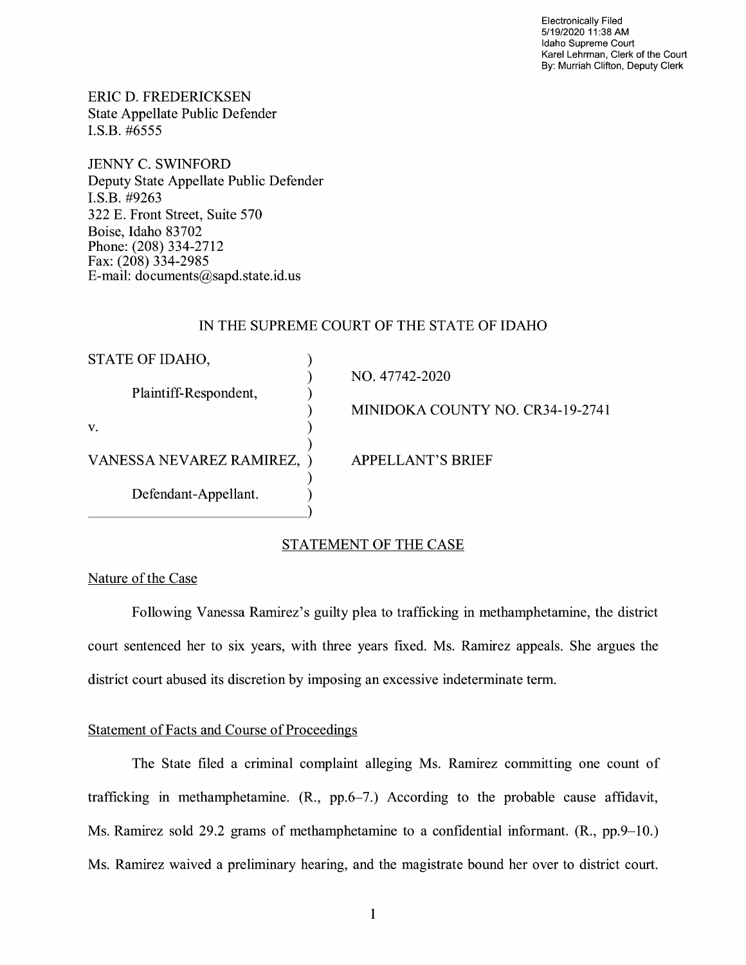Electronically Filed 5/19/2020 11 :38 AM Idaho Supreme Court Karel Lehrman, Clerk of the Court By: Murriah Clifton, Deputy Clerk

ERIC D. FREDERICKSEN State Appellate Public Defender I.S.B. #6555

JENNY C. SWINFORD Deputy State Appellate Public Defender I.S.B. #9263 322 E. Front Street, Suite 570 Boise, Idaho 83702 Phone: (208) 334-2712 Fax: (208) 334-2985 E-mail: documents@sapd.state.id. us

### IN THE SUPREME COURT OF THE STATE OF IDAHO

| STATE OF IDAHO,            |                                  |
|----------------------------|----------------------------------|
|                            | NO. 47742-2020                   |
| Plaintiff-Respondent,      |                                  |
|                            | MINIDOKA COUNTY NO. CR34-19-2741 |
| V.                         |                                  |
|                            |                                  |
| VANESSA NEVAREZ RAMIREZ, ) | <b>APPELLANT'S BRIEF</b>         |
|                            |                                  |
| Defendant-Appellant.       |                                  |
|                            |                                  |
|                            |                                  |

### STATEMENT OF THE CASE

## Nature of the Case

Following Vanessa Ramirez's guilty plea to trafficking in methamphetamine, the district court sentenced her to six years, with three years fixed. Ms. Ramirez appeals. She argues the district court abused its discretion by imposing an excessive indeterminate term.

#### Statement of Facts and Course of Proceedings

The State filed a criminal complaint alleging Ms. Ramirez committing one count of trafficking in methamphetamine. (R., pp.6-7.) According to the probable cause affidavit, Ms. Ramirez sold 29.2 grams of methamphetamine to a confidential informant. (R., pp.9-10.) Ms. Ramirez waived a preliminary hearing, and the magistrate bound her over to district court.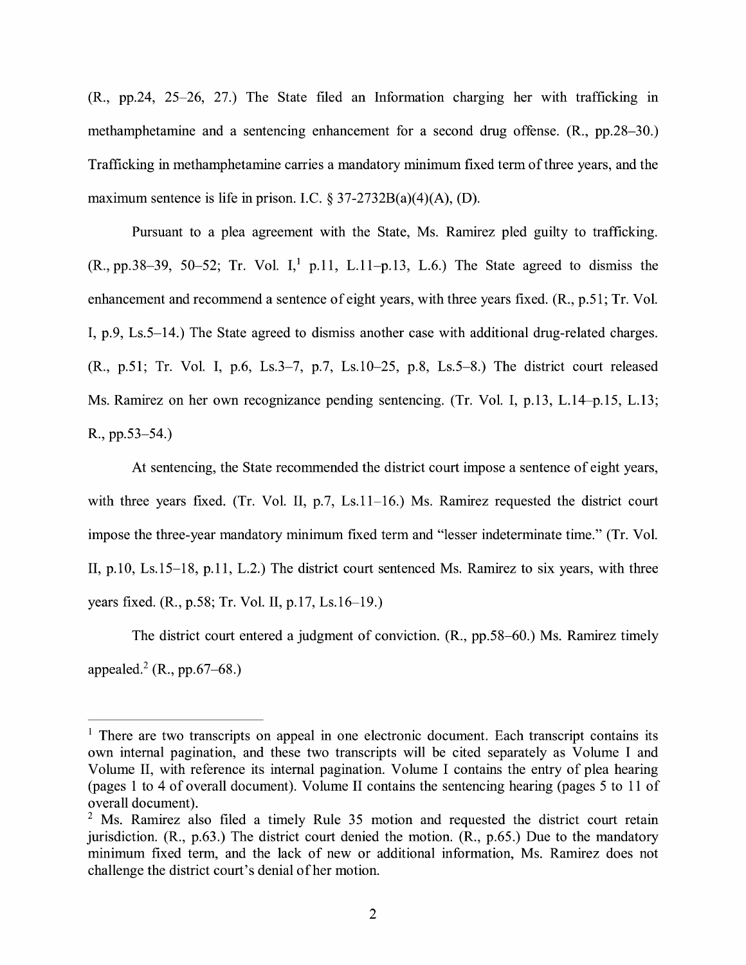(R., pp.24, 25-26, 27.) The State filed an Information charging her with trafficking in methamphetamine and a sentencing enhancement for a second drug offense. (R., pp.28-30.) Trafficking in methamphetamine carries a mandatory minimum fixed term of three years, and the maximum sentence is life in prison. I.C.  $\S 37-2732B(a)(4)(A)$ , (D).

Pursuant to a plea agreement with the State, Ms. Ramirez pled guilty to trafficking.  $(R., pp.38-39, 50-52; Tr. Vol. I<sub>1</sub><sup>1</sup> p.11, L.11-p.13, L.6.)$  The State agreed to dismiss the enhancement and recommend a sentence of eight years, with three years fixed. (R., p.51; Tr. Vol. I, p.9, Ls.5-14.) The State agreed to dismiss another case with additional drug-related charges. (R., p.51; Tr. Vol. I, p.6, Ls.3-7, p.7, Ls.10-25, p.8, Ls.5-8.) The district court released Ms. Ramirez on her own recognizance pending sentencing. (Tr. Vol. I, p.13, L.14-p.15, L.13; R., pp.53-54.)

At sentencing, the State recommended the district court impose a sentence of eight years, with three years fixed. (Tr. Vol. II, p.7, Ls.11-16.) Ms. Ramirez requested the district court impose the three-year mandatory minimum fixed term and "lesser indeterminate time." (Tr. Vol. II, p.10, Ls.15-18, p.11, L.2.) The district court sentenced Ms. Ramirez to six years, with three years fixed. (R., p.58; Tr. Vol. II, p.17, Ls.16-19.)

The district court entered a judgment of conviction. (R., pp.58-60.) Ms. Ramirez timely appealed.<sup>2</sup> (R., pp.67–68.)

 $<sup>1</sup>$  There are two transcripts on appeal in one electronic document. Each transcript contains its</sup> own internal pagination, and these two transcripts will be cited separately as Volume I and Volume II, with reference its internal pagination. Volume I contains the entry of plea hearing (pages 1 to 4 of overall document). Volume II contains the sentencing hearing (pages 5 to 11 of overall document).

 $2$  Ms. Ramirez also filed a timely Rule 35 motion and requested the district court retain jurisdiction. (R., p.63.) The district court denied the motion. (R., p.65.) Due to the mandatory minimum fixed term, and the lack of new or additional information, Ms. Ramirez does not challenge the district court's denial of her motion.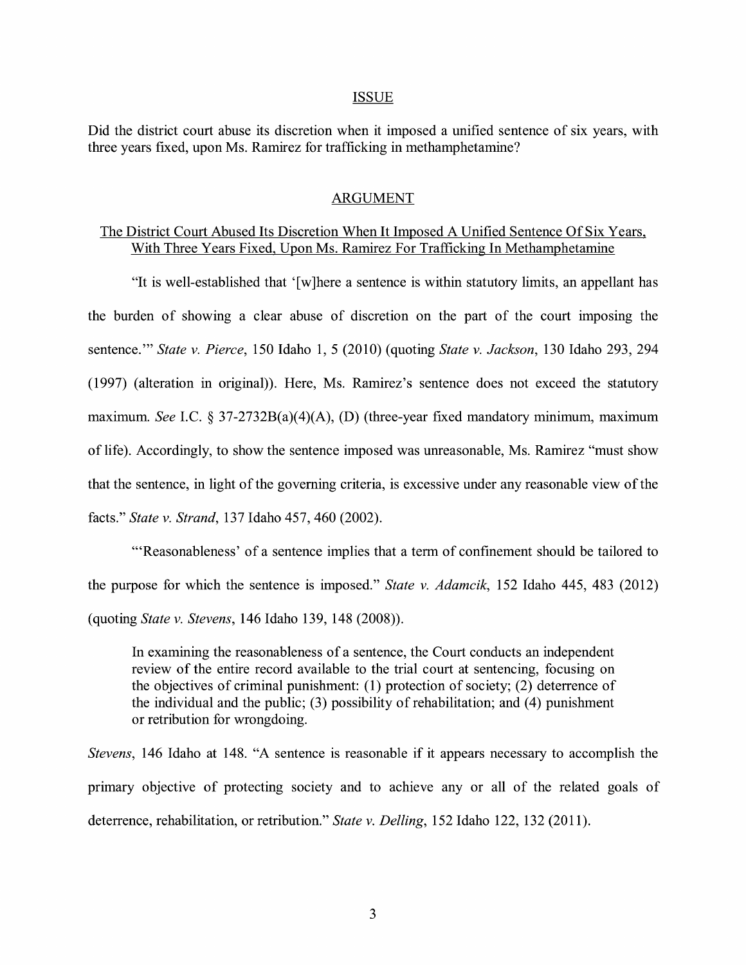#### ISSUE

Did the district court abuse its discretion when it imposed a unified sentence of six years, with three years fixed, upon Ms. Ramirez for trafficking in methamphetamine?

#### ARGUMENT

## The District Court Abused Its Discretion When It Imposed A Unified Sentence Of Six Years, With Three Years Fixed, Upon Ms. Ramirez For Trafficking In Methamphetamine

"It is well-established that ' [ w ]here a sentence is within statutory limits, an appellant has the burden of showing a clear abuse of discretion on the part of the court imposing the sentence."' *State v. Pierce,* 150 Idaho 1, 5 (2010) (quoting *State v. Jackson,* 130 Idaho 293, 294 (1997) (alteration in original)). Here, Ms. Ramirez's sentence does not exceed the statutory maximum. *See I.C.* § 37-2732B(a)(4)(A), (D) (three-year fixed mandatory minimum, maximum of life). Accordingly, to show the sentence imposed was unreasonable, Ms. Ramirez "must show that the sentence, in light of the governing criteria, is excessive under any reasonable view of the facts." *State v. Strand,* 137 Idaho 457, 460 (2002).

"'Reasonableness' of a sentence implies that a term of confinement should be tailored to the purpose for which the sentence is imposed." *State v. Adamcik,* 152 Idaho 445, 483 (2012) (quoting *State v. Stevens,* 146 Idaho 139, 148 (2008)).

In examining the reasonableness of a sentence, the Court conducts an independent review of the entire record available to the trial court at sentencing, focusing on the objectives of criminal punishment: (1) protection of society; (2) deterrence of the individual and the public;  $(3)$  possibility of rehabilitation; and  $(4)$  punishment or retribution for wrongdoing.

*Stevens,* 146 Idaho at 148. "A sentence is reasonable if it appears necessary to accomplish the primary objective of protecting society and to achieve any or all of the related goals of deterrence, rehabilitation, or retribution." *State v. Delling,* 152 Idaho 122, 132 (2011).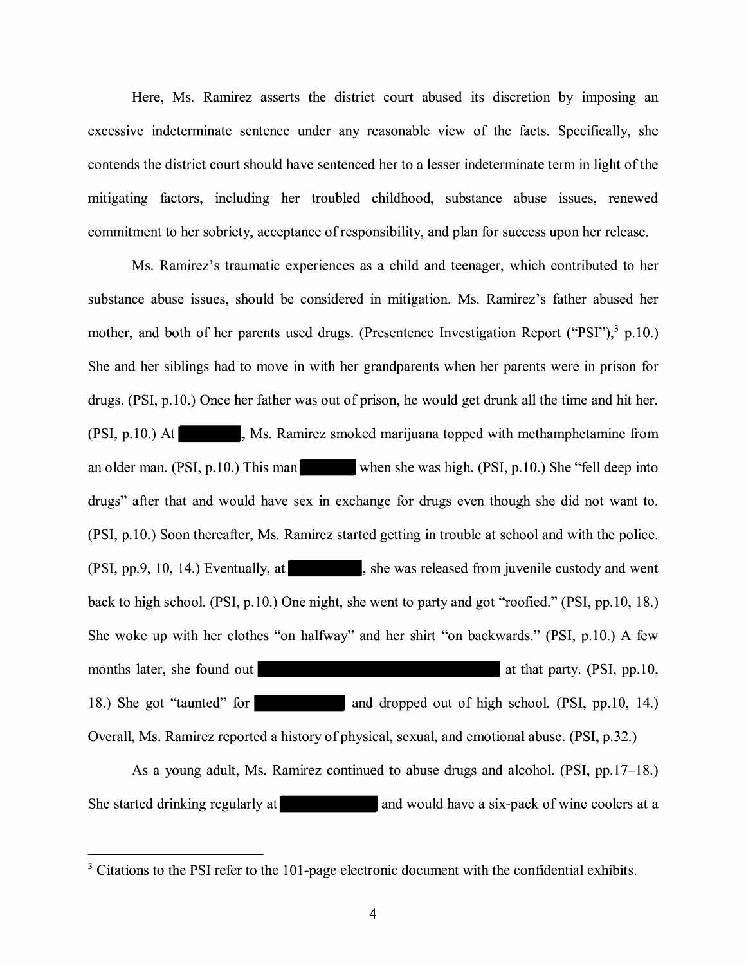Here, Ms. Ramirez asserts the district court abused its discretion by imposing an excessive indeterminate sentence under any reasonable view of the facts. Specifically, she contends the district court should have sentenced her to a lesser indeterminate term in light of the mitigating factors, including her troubled childhood, substance abuse issues, renewed commitment to her sobriety, acceptance of responsibility, and plan for success upon her release.

Ms. Ramirez's traumatic experiences as a child and teenager, which contributed to her substance abuse issues, should be considered in mitigation. Ms. Ramirez's father abused her mother, and both of her parents used drugs. (Presentence Investigation Report ("PSI"), $3$  p.10.) She and her siblings had to move in with her grandparents when her parents were in prison for drugs. (PSI, p.10.) Once her father was out of prison, he would get drunk all the time and hit her. (PSI, p.10.) At , Ms. Ramirez smoked marijuana topped with methamphetamine from an older man. (PSI, p.10.) This man when she was high. (PSI, p.10.) She "fell deep into drugs" after that and would have sex in exchange for drugs even though she did not want to. (PSI, p.10.) Soon thereafter, Ms. Ramirez started getting in trouble at school and with the police. (PSI, pp.9, 10, 14.) Eventually, at  $\vert$ , she was released from juvenile custody and went back to high school. (PSI, p.10.) One night, she went to party and got "roofied." (PSI, pp.IO, 18.) She woke up with her clothes "on halfway" and her shirt "on backwards." (PSI, p.10.) A few months later, she found out at that party. (PSI, pp. 10, at that party. (PSI, pp. 10, 18.) She got "taunted" for and dropped out of high school. (PSI, pp.10, 14.) Overall, Ms. Ramirez reported a history of physical, sexual, and emotional abuse. (PSI, p.32.)

As a young adult, Ms. Ramirez continued to abuse drugs and alcohol. (PSI, pp.17-18.) She started drinking regularly at and would have a six-pack of wine coolers at a

 $3$  Citations to the PSI refer to the 101-page electronic document with the confidential exhibits.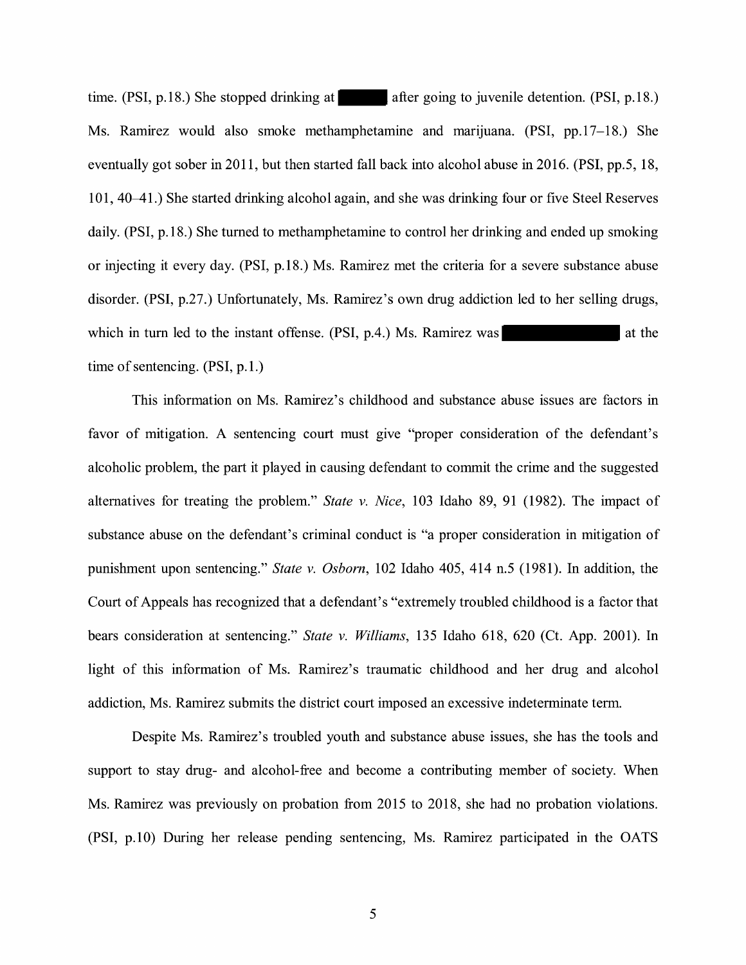time.  $(PSI, p.18.)$  She stopped drinking at after going to juvenile detention.  $(PSI, p.18.)$ Ms. Ramirez would also smoke methamphetamine and marijuana. (PSI, pp.17-18.) She eventually got sober in 2011, but then started fall back into alcohol abuse in 2016. (PSI, pp.5, 18, 101, 40–41.) She started drinking alcohol again, and she was drinking four or five Steel Reserves daily. (PSI, p.18.) She turned to methamphetamine to control her drinking and ended up smoking or injecting it every day. (PSI, p.18.) Ms. Ramirez met the criteria for a severe substance abuse disorder. (PSI, p.27.) Unfortunately, Ms. Ramirez's own drug addiction led to her selling drugs, which in turn led to the instant offense.  $(PSI, p.4)$  Ms. Ramirez was at the time of sentencing. (PSI, p.1.)

This information on Ms. Ramirez's childhood and substance abuse issues are factors in favor of mitigation. A sentencing court must give "proper consideration of the defendant's alcoholic problem, the part it played in causing defendant to commit the crime and the suggested alternatives for treating the problem." *State v. Nice,* 103 Idaho 89, 91 (1982). The impact of substance abuse on the defendant's criminal conduct is "a proper consideration in mitigation of punishment upon sentencing." *State v. Osborn,* 102 Idaho 405, 414 n.5 (1981). In addition, the Court of Appeals has recognized that a defendant's "extremely troubled childhood is a factor that bears consideration at sentencing." *State v. Williams,* 135 Idaho 618, 620 (Ct. App. 2001). In light of this information of Ms. Ramirez's traumatic childhood and her drug and alcohol addiction, Ms. Ramirez submits the district court imposed an excessive indeterminate term.

Despite Ms. Ramirez's troubled youth and substance abuse issues, she has the tools and support to stay drug- and alcohol-free and become a contributing member of society. When Ms. Ramirez was previously on probation from 2015 to 2018, she had no probation violations. (PSI, p.10) During her release pending sentencing, Ms. Ramirez participated in the OATS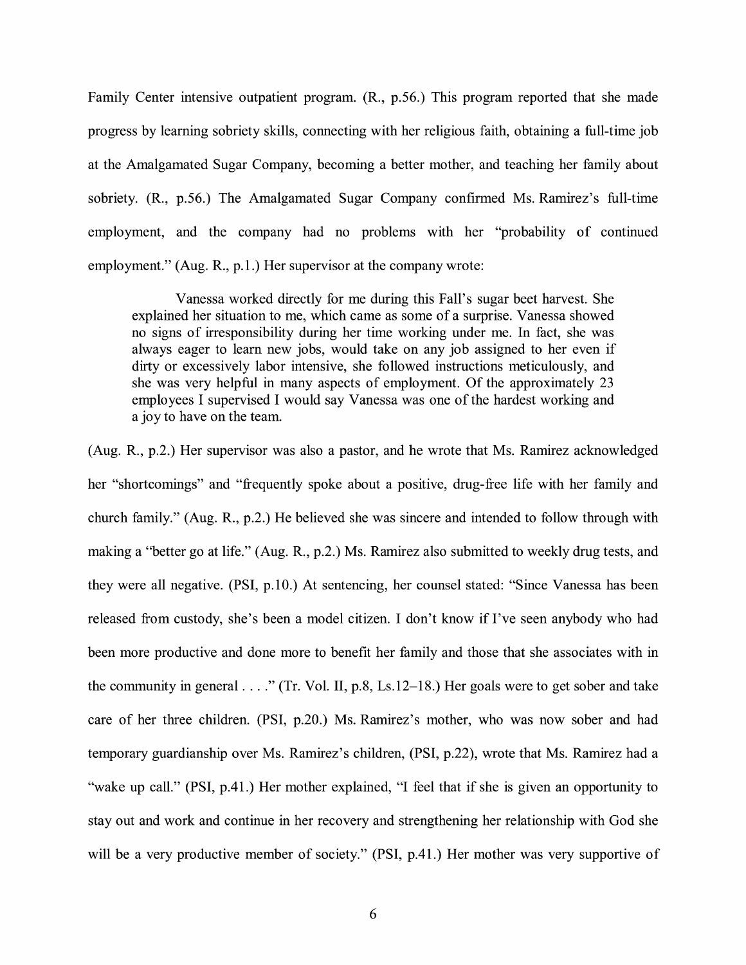Family Center intensive outpatient program. (R., p.56.) This program reported that she made progress by learning sobriety skills, connecting with her religious faith, obtaining a full-time job at the Amalgamated Sugar Company, becoming a better mother, and teaching her family about sobriety. (R., p.56.) The Amalgamated Sugar Company confirmed Ms. Ramirez's full-time employment, and the company had no problems with her "probability of continued employment." (Aug. R., p.1.) Her supervisor at the company wrote:

Vanessa worked directly for me during this Fall's sugar beet harvest. She explained her situation to me, which came as some of a surprise. Vanessa showed no signs of irresponsibility during her time working under me. In fact, she was always eager to learn new jobs, would take on any job assigned to her even if dirty or excessively labor intensive, she followed instructions meticulously, and she was very helpful in many aspects of employment. Of the approximately 23 employees I supervised I would say Vanessa was one of the hardest working and a joy to have on the team.

(Aug. R., p.2.) Her supervisor was also a pastor, and he wrote that Ms. Ramirez acknowledged her "shortcomings" and "frequently spoke about a positive, drug-free life with her family and church family." (Aug. R., p.2.) He believed she was sincere and intended to follow through with making a "better go at life." (Aug. R., p.2.) Ms. Ramirez also submitted to weekly drug tests, and they were all negative. (PSI, p.10.) At sentencing, her counsel stated: "Since Vanessa has been released from custody, she's been a model citizen. I don't know if I've seen anybody who had been more productive and done more to benefit her family and those that she associates with in the community in general  $\dots$ ." (Tr. Vol. II, p.8, Ls.12–18.) Her goals were to get sober and take care of her three children. (PSI, p.20.) Ms. Ramirez's mother, who was now sober and had temporary guardianship over Ms. Ramirez's children, (PSI, p.22), wrote that Ms. Ramirez had a "wake up call." (PSI, p.41.) Her mother explained, "I feel that if she is given an opportunity to stay out and work and continue in her recovery and strengthening her relationship with God she will be a very productive member of society." (PSI, p.41.) Her mother was very supportive of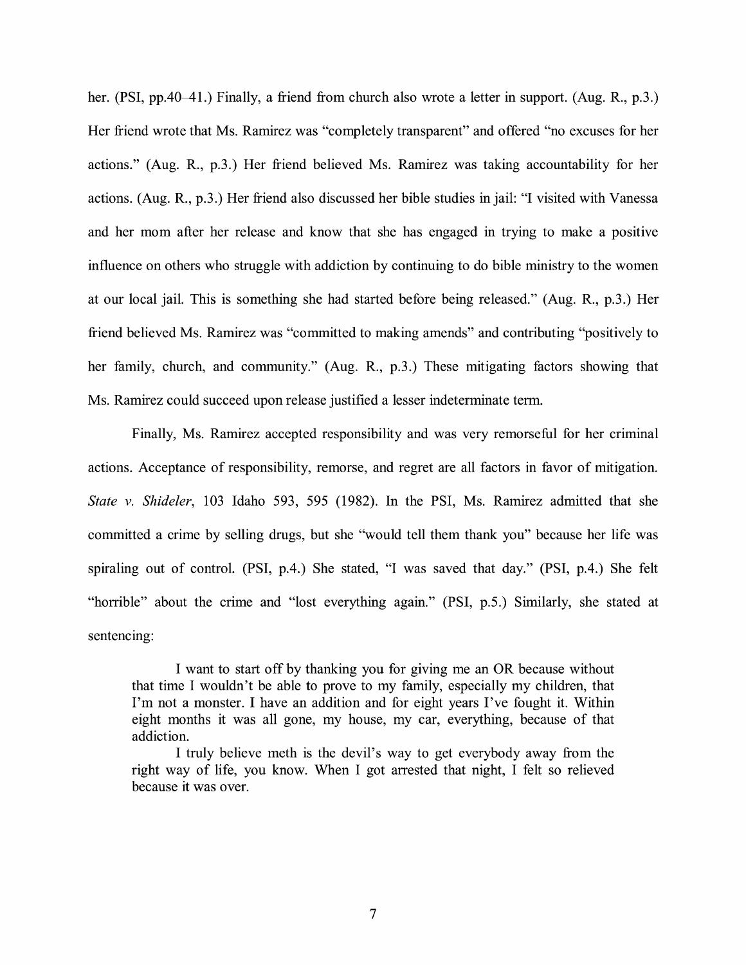her. (PSI, pp.40–41.) Finally, a friend from church also wrote a letter in support. (Aug. R., p.3.) Her friend wrote that Ms. Ramirez was "completely transparent" and offered "no excuses for her actions." (Aug. R., p.3.) Her friend believed Ms. Ramirez was taking accountability for her actions. (Aug. R., p.3.) Her friend also discussed her bible studies in jail: "I visited with Vanessa and her mom after her release and know that she has engaged in trying to make a positive influence on others who struggle with addiction by continuing to do bible ministry to the women at our local jail. This is something she had started before being released." (Aug. R., p.3.) Her friend believed Ms. Ramirez was "committed to making amends" and contributing "positively to her family, church, and community." (Aug. R., p.3.) These mitigating factors showing that Ms. Ramirez could succeed upon release justified a lesser indeterminate term.

Finally, Ms. Ramirez accepted responsibility and was very remorseful for her criminal actions. Acceptance of responsibility, remorse, and regret are all factors in favor of mitigation. *State v. Shideler,* 103 Idaho 593, 595 (1982). In the PSI, Ms. Ramirez admitted that she committed a crime by selling drugs, but she "would tell them thank you" because her life was spiraling out of control. (PSI, p.4.) She stated, "I was saved that day." (PSI, p.4.) She felt "horrible" about the crime and "lost everything again." (PSI, p.5.) Similarly, she stated at sentencing:

I want to start off by thanking you for giving me an OR because without that time I wouldn't be able to prove to my family, especially my children, that I'm not a monster. I have an addition and for eight years I've fought it. Within eight months it was all gone, my house, my car, everything, because of that addiction.

I truly believe meth is the devil's way to get everybody away from the right way of life, you know. When I got arrested that night, I felt so relieved because it was over.

7